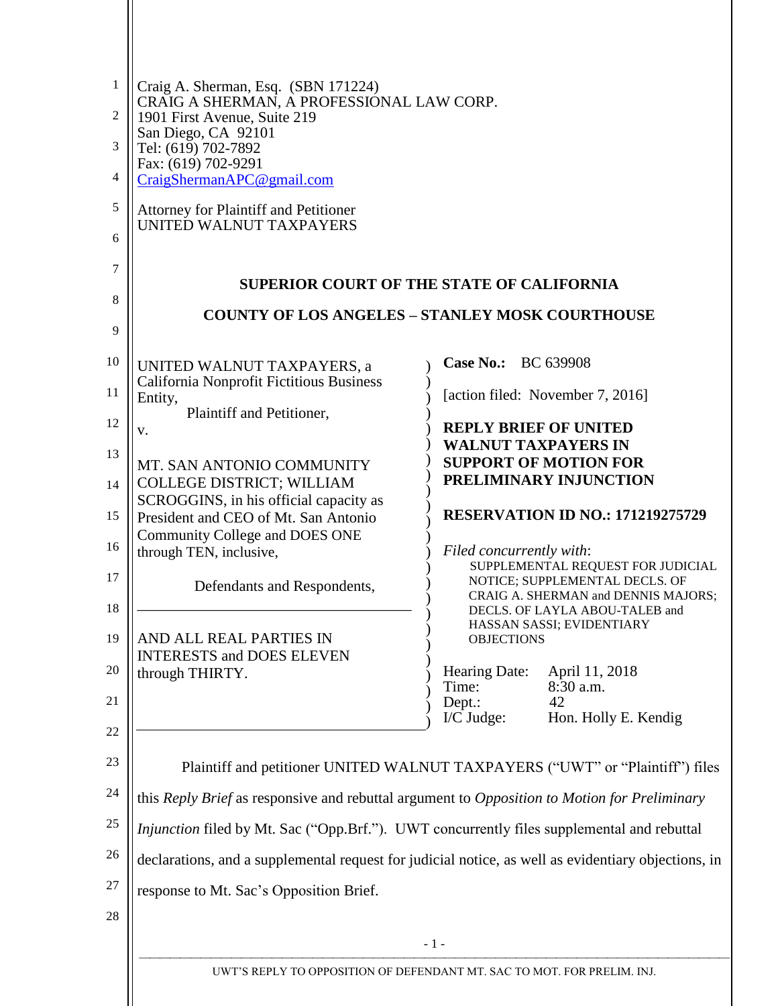| 1<br>2         | Craig A. Sherman, Esq. (SBN 171224)<br>CRAIG A SHERMAN, A PROFESSIONAL LAW CORP.<br>1901 First Avenue, Suite 219<br>San Diego, CA 92101<br>Tel: (619) 702-7892 |                            |                                                                       |  |  |  |
|----------------|----------------------------------------------------------------------------------------------------------------------------------------------------------------|----------------------------|-----------------------------------------------------------------------|--|--|--|
| 3              |                                                                                                                                                                |                            |                                                                       |  |  |  |
| $\overline{4}$ | Fax: (619) 702-9291<br>CraigShermanAPC@gmail.com                                                                                                               |                            |                                                                       |  |  |  |
| 5              | <b>Attorney for Plaintiff and Petitioner</b>                                                                                                                   |                            |                                                                       |  |  |  |
| 6              | UNITED WALNUT TAXPAYERS                                                                                                                                        |                            |                                                                       |  |  |  |
| 7              | <b>SUPERIOR COURT OF THE STATE OF CALIFORNIA</b>                                                                                                               |                            |                                                                       |  |  |  |
| 8              | <b>COUNTY OF LOS ANGELES - STANLEY MOSK COURTHOUSE</b>                                                                                                         |                            |                                                                       |  |  |  |
| 9              |                                                                                                                                                                |                            |                                                                       |  |  |  |
| 10             | UNITED WALNUT TAXPAYERS, a                                                                                                                                     | Case No.: BC 639908        |                                                                       |  |  |  |
| 11             | <b>California Nonprofit Fictitious Business</b><br>Entity,<br>Plaintiff and Petitioner,                                                                        |                            | [action filed: November 7, 2016]                                      |  |  |  |
| 12             | v.                                                                                                                                                             |                            | <b>REPLY BRIEF OF UNITED</b>                                          |  |  |  |
| 13             | MT. SAN ANTONIO COMMUNITY                                                                                                                                      | <b>WALNUT TAXPAYERS IN</b> | <b>SUPPORT OF MOTION FOR</b>                                          |  |  |  |
| 14             | <b>COLLEGE DISTRICT; WILLIAM</b>                                                                                                                               |                            | PRELIMINARY INJUNCTION                                                |  |  |  |
| 15             | SCROGGINS, in his official capacity as<br>President and CEO of Mt. San Antonio                                                                                 |                            | <b>RESERVATION ID NO.: 171219275729</b>                               |  |  |  |
| 16             | Community College and DOES ONE<br>through TEN, inclusive,                                                                                                      | Filed concurrently with:   |                                                                       |  |  |  |
| 17             |                                                                                                                                                                |                            | SUPPLEMENTAL REQUEST FOR JUDICIAL<br>NOTICE; SUPPLEMENTAL DECLS. OF   |  |  |  |
| 18             | Defendants and Respondents,                                                                                                                                    |                            | CRAIG A. SHERMAN and DENNIS MAJORS;<br>DECLS. OF LAYLA ABOU-TALEB and |  |  |  |
| 19             | AND ALL REAL PARTIES IN                                                                                                                                        | <b>OBJECTIONS</b>          | HASSAN SASSI; EVIDENTIARY                                             |  |  |  |
|                | <b>INTERESTS and DOES ELEVEN</b>                                                                                                                               |                            |                                                                       |  |  |  |
| 20             | through THIRTY.                                                                                                                                                | Hearing Date:<br>Time:     | April 11, 2018<br>8:30 a.m.                                           |  |  |  |
| 21             |                                                                                                                                                                | Dept.:<br>$I/C$ Judge:     | 42<br>Hon. Holly E. Kendig                                            |  |  |  |
| 22             |                                                                                                                                                                |                            |                                                                       |  |  |  |
| 23             | Plaintiff and petitioner UNITED WALNUT TAXPAYERS ("UWT" or "Plaintiff") files                                                                                  |                            |                                                                       |  |  |  |
| 24             | this Reply Brief as responsive and rebuttal argument to Opposition to Motion for Preliminary                                                                   |                            |                                                                       |  |  |  |
| 25             | <i>Injunction</i> filed by Mt. Sac ("Opp.Brf."). UWT concurrently files supplemental and rebuttal                                                              |                            |                                                                       |  |  |  |
| 26             | declarations, and a supplemental request for judicial notice, as well as evidentiary objections, in                                                            |                            |                                                                       |  |  |  |
| 27             | response to Mt. Sac's Opposition Brief.                                                                                                                        |                            |                                                                       |  |  |  |
| 28             |                                                                                                                                                                |                            |                                                                       |  |  |  |
|                |                                                                                                                                                                | $-1-$                      |                                                                       |  |  |  |
|                | UWT'S REPLY TO OPPOSITION OF DEFENDANT MT. SAC TO MOT. FOR PRELIM. INJ.                                                                                        |                            |                                                                       |  |  |  |
|                |                                                                                                                                                                |                            |                                                                       |  |  |  |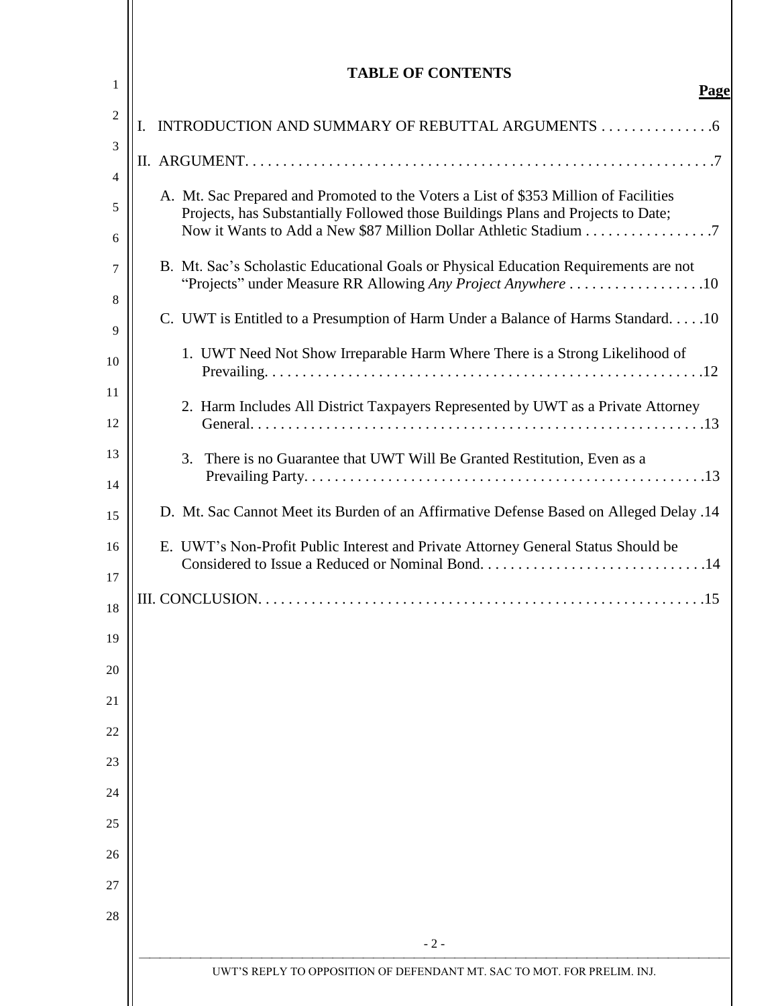| 1              | <b>TABLE OF CONTENTS</b><br>Page                                                                                                                     |
|----------------|------------------------------------------------------------------------------------------------------------------------------------------------------|
| $\overline{c}$ | I.                                                                                                                                                   |
| 3              |                                                                                                                                                      |
| 4              | A. Mt. Sac Prepared and Promoted to the Voters a List of \$353 Million of Facilities                                                                 |
| 5<br>6         | Projects, has Substantially Followed those Buildings Plans and Projects to Date;<br>Now it Wants to Add a New \$87 Million Dollar Athletic Stadium 7 |
| 7<br>8         | B. Mt. Sac's Scholastic Educational Goals or Physical Education Requirements are not<br>"Projects" under Measure RR Allowing Any Project Anywhere 10 |
| 9              | C. UWT is Entitled to a Presumption of Harm Under a Balance of Harms Standard10                                                                      |
| 10             | 1. UWT Need Not Show Irreparable Harm Where There is a Strong Likelihood of                                                                          |
| 11<br>12       | 2. Harm Includes All District Taxpayers Represented by UWT as a Private Attorney                                                                     |
| 13             | 3. There is no Guarantee that UWT Will Be Granted Restitution, Even as a                                                                             |
| 14<br>15       | D. Mt. Sac Cannot Meet its Burden of an Affirmative Defense Based on Alleged Delay .14                                                               |
| 16             | E. UWT's Non-Profit Public Interest and Private Attorney General Status Should be                                                                    |
| 17             | Considered to Issue a Reduced or Nominal Bond14                                                                                                      |
| 18             | .15                                                                                                                                                  |
| 19             |                                                                                                                                                      |
| 20             |                                                                                                                                                      |
| 21             |                                                                                                                                                      |
| 22             |                                                                                                                                                      |
| 23<br>24       |                                                                                                                                                      |
| 25             |                                                                                                                                                      |
| 26             |                                                                                                                                                      |
| 27             |                                                                                                                                                      |
| 28             |                                                                                                                                                      |
|                | $-2-$                                                                                                                                                |
|                | UWT'S REPLY TO OPPOSITION OF DEFENDANT MT. SAC TO MOT. FOR PRELIM. INJ.                                                                              |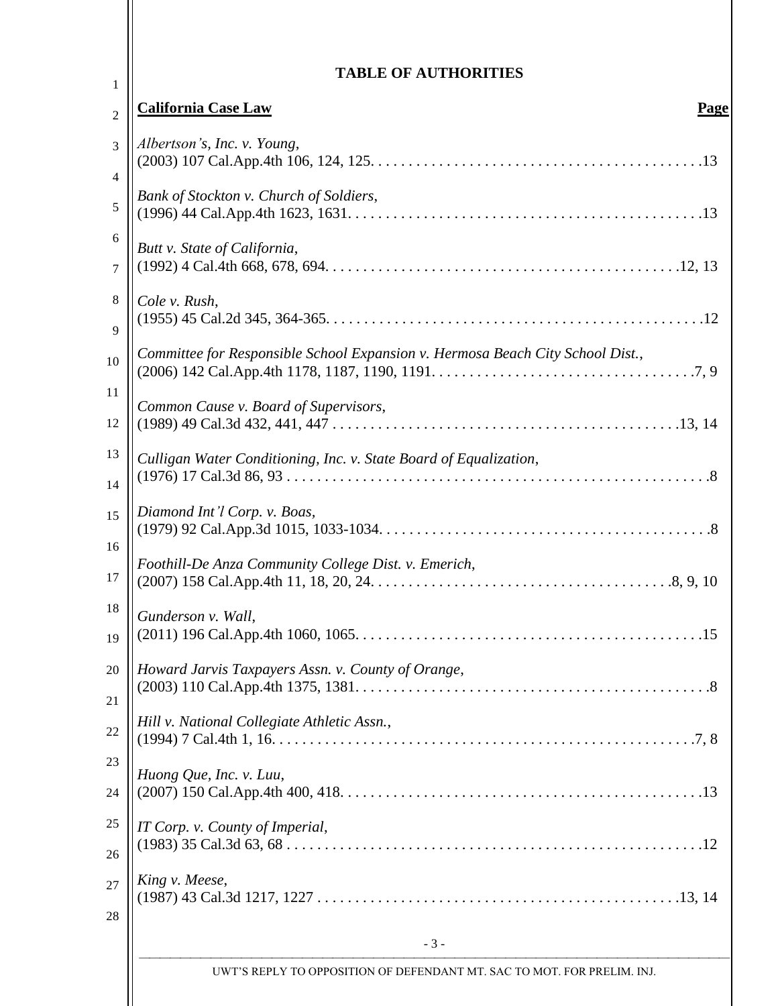| <b>TABLE OF AUTHORITIES</b>                                                    |
|--------------------------------------------------------------------------------|
| <b>California Case Law</b><br>Page                                             |
| Albertson's, Inc. v. Young,                                                    |
| Bank of Stockton v. Church of Soldiers,                                        |
| Butt v. State of California,                                                   |
| Cole v. Rush,                                                                  |
| Committee for Responsible School Expansion v. Hermosa Beach City School Dist., |
| Common Cause v. Board of Supervisors,                                          |
| Culligan Water Conditioning, Inc. v. State Board of Equalization,              |
| Diamond Int'l Corp. v. Boas,                                                   |
| Foothill-De Anza Community College Dist. v. Emerich,                           |
| Gunderson v. Wall,                                                             |
| Howard Jarvis Taxpayers Assn. v. County of Orange,                             |
| Hill v. National Collegiate Athletic Assn.,                                    |
| Huong Que, Inc. v. Luu,                                                        |
| IT Corp. v. County of Imperial,                                                |
| King v. Meese,                                                                 |
| $-3-$                                                                          |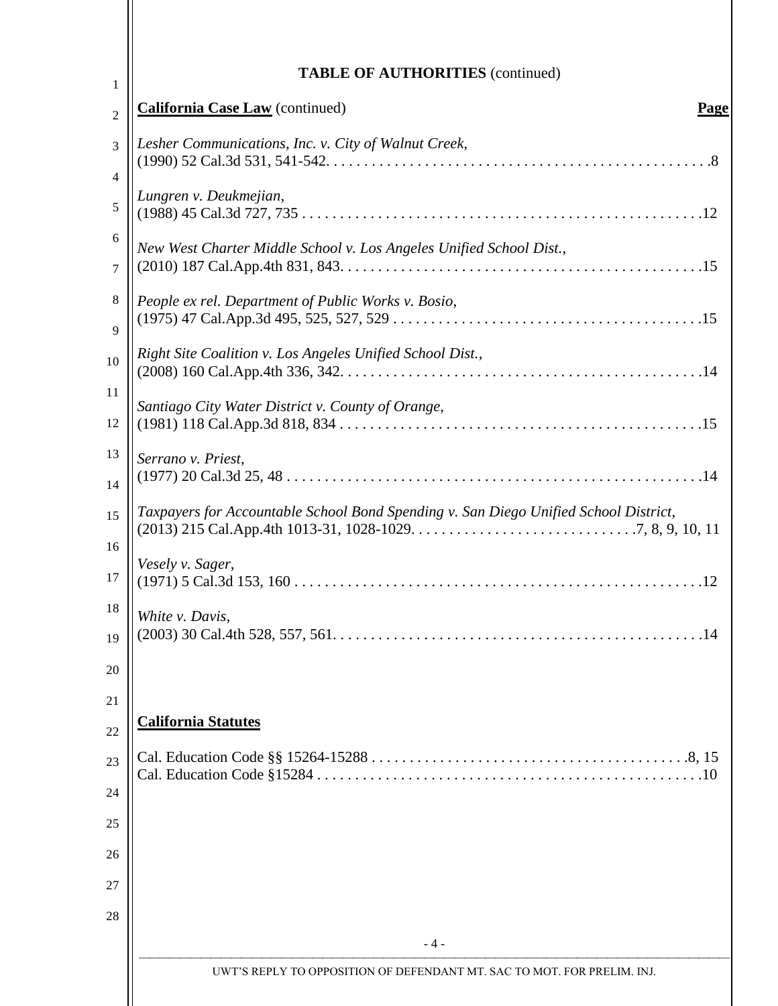| <b>TABLE OF AUTHORITIES</b> (continued)                                              |
|--------------------------------------------------------------------------------------|
| <b>California Case Law</b> (continued)<br>Page                                       |
| Lesher Communications, Inc. v. City of Walnut Creek,                                 |
| Lungren v. Deukmejian,                                                               |
| New West Charter Middle School v. Los Angeles Unified School Dist.,                  |
| People ex rel. Department of Public Works v. Bosio,                                  |
| Right Site Coalition v. Los Angeles Unified School Dist.,                            |
| Santiago City Water District v. County of Orange,                                    |
| Serrano v. Priest,                                                                   |
| Taxpayers for Accountable School Bond Spending v. San Diego Unified School District, |
| Vesely v. Sager,                                                                     |
| White v. Davis,                                                                      |
|                                                                                      |
| <b>California Statutes</b>                                                           |
|                                                                                      |
|                                                                                      |
|                                                                                      |
|                                                                                      |
| $-4-$                                                                                |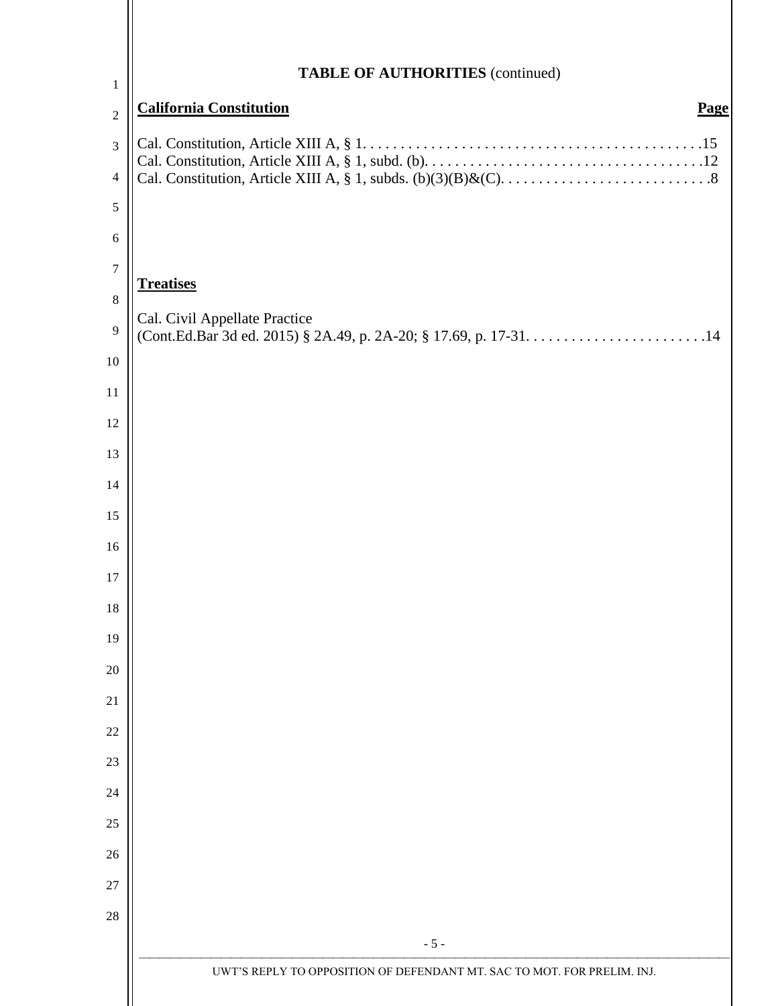| $\mathbf{1}$    | <b>TABLE OF AUTHORITIES</b> (continued)                                 |
|-----------------|-------------------------------------------------------------------------|
| $\overline{2}$  | <b>California Constitution</b><br>Page                                  |
| 3               |                                                                         |
| $\overline{4}$  |                                                                         |
| 5               |                                                                         |
| 6               |                                                                         |
| $\tau$          |                                                                         |
| $8\phantom{.0}$ | <b>Treatises</b>                                                        |
| 9               | Cal. Civil Appellate Practice                                           |
| 10              |                                                                         |
| 11              |                                                                         |
| 12              |                                                                         |
| 13              |                                                                         |
| 14              |                                                                         |
| 15              |                                                                         |
| 16              |                                                                         |
| 17<br>18        |                                                                         |
| 19              |                                                                         |
| 20              |                                                                         |
| 21              |                                                                         |
| 22              |                                                                         |
| 23              |                                                                         |
| 24              |                                                                         |
| 25              |                                                                         |
| 26              |                                                                         |
| 27              |                                                                         |
| 28              |                                                                         |
|                 | $-5-$                                                                   |
|                 | UWT'S REPLY TO OPPOSITION OF DEFENDANT MT. SAC TO MOT. FOR PRELIM. INJ. |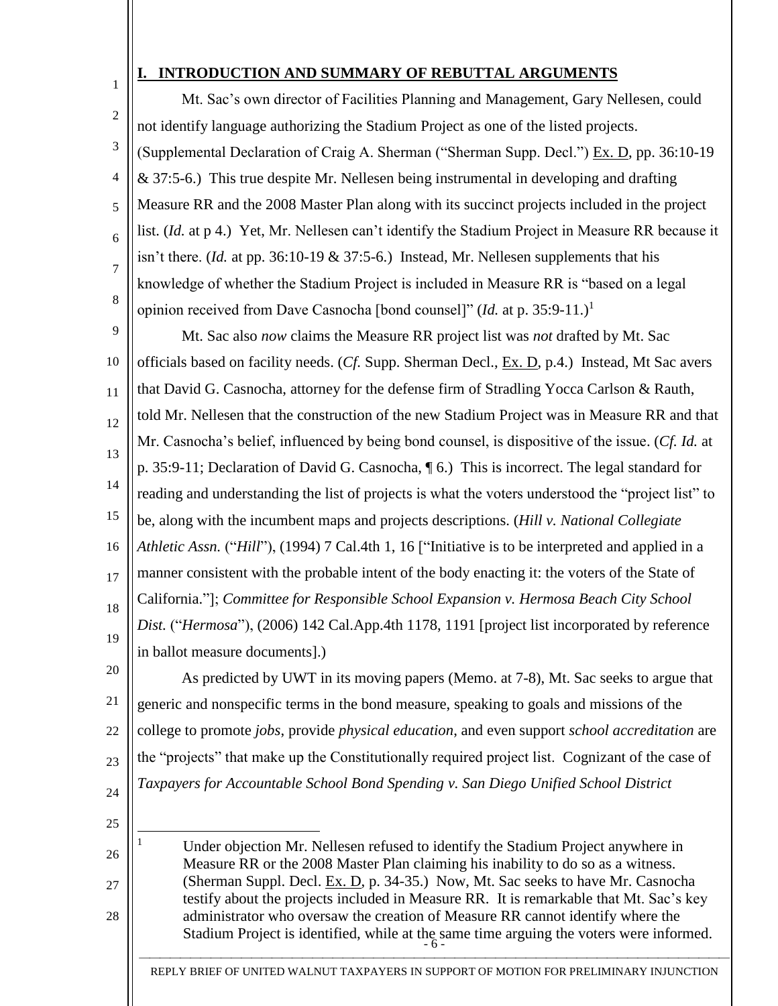## **I. INTRODUCTION AND SUMMARY OF REBUTTAL ARGUMENTS**

2 3 4 5 6 7 8 Mt. Sac's own director of Facilities Planning and Management, Gary Nellesen, could not identify language authorizing the Stadium Project as one of the listed projects. (Supplemental Declaration of Craig A. Sherman ("Sherman Supp. Decl.") Ex. D, pp. 36:10-19  $& 37:5-6$ .) This true despite Mr. Nellesen being instrumental in developing and drafting Measure RR and the 2008 Master Plan along with its succinct projects included in the project list. (*Id.* at p 4.) Yet, Mr. Nellesen can't identify the Stadium Project in Measure RR because it isn't there. (*Id.* at pp. 36:10-19 & 37:5-6.) Instead, Mr. Nellesen supplements that his knowledge of whether the Stadium Project is included in Measure RR is "based on a legal opinion received from Dave Casnocha [bond counsel]" (*Id.* at p. 35:9-11.)<sup>1</sup>

9 10 11 12 13 14 15 16 17 18 19 Mt. Sac also *now* claims the Measure RR project list was *not* drafted by Mt. Sac officials based on facility needs. (*Cf.* Supp. Sherman Decl., Ex. D, p.4.) Instead, Mt Sac avers that David G. Casnocha, attorney for the defense firm of Stradling Yocca Carlson & Rauth, told Mr. Nellesen that the construction of the new Stadium Project was in Measure RR and that Mr. Casnocha's belief, influenced by being bond counsel, is dispositive of the issue. (*Cf. Id.* at p. 35:9-11; Declaration of David G. Casnocha, ¶ 6.) This is incorrect. The legal standard for reading and understanding the list of projects is what the voters understood the "project list" to be, along with the incumbent maps and projects descriptions. (*Hill v. National Collegiate Athletic Assn.* ("*Hill*"), (1994) 7 Cal.4th 1, 16 ["Initiative is to be interpreted and applied in a manner consistent with the probable intent of the body enacting it: the voters of the State of California."]; *Committee for Responsible School Expansion v. Hermosa Beach City School Dist.* ("*Hermosa*"), (2006) 142 Cal.App.4th 1178, 1191 [project list incorporated by reference in ballot measure documents].)

20 21 22 23 24 As predicted by UWT in its moving papers (Memo. at 7-8), Mt. Sac seeks to argue that generic and nonspecific terms in the bond measure, speaking to goals and missions of the college to promote *jobs*, provide *physical education*, and even support *school accreditation* are the "projects" that make up the Constitutionally required project list. Cognizant of the case of *Taxpayers for Accountable School Bond Spending v. San Diego Unified School District* 

25

 $\overline{\phantom{a}}$ 

26

27

28

1

Stadium Project is identified, while at the same time arguing the voters were informed. Under objection Mr. Nellesen refused to identify the Stadium Project anywhere in Measure RR or the 2008 Master Plan claiming his inability to do so as a witness. (Sherman Suppl. Decl. Ex. D, p. 34-35.) Now, Mt. Sac seeks to have Mr. Casnocha testify about the projects included in Measure RR. It is remarkable that Mt. Sac's key administrator who oversaw the creation of Measure RR cannot identify where the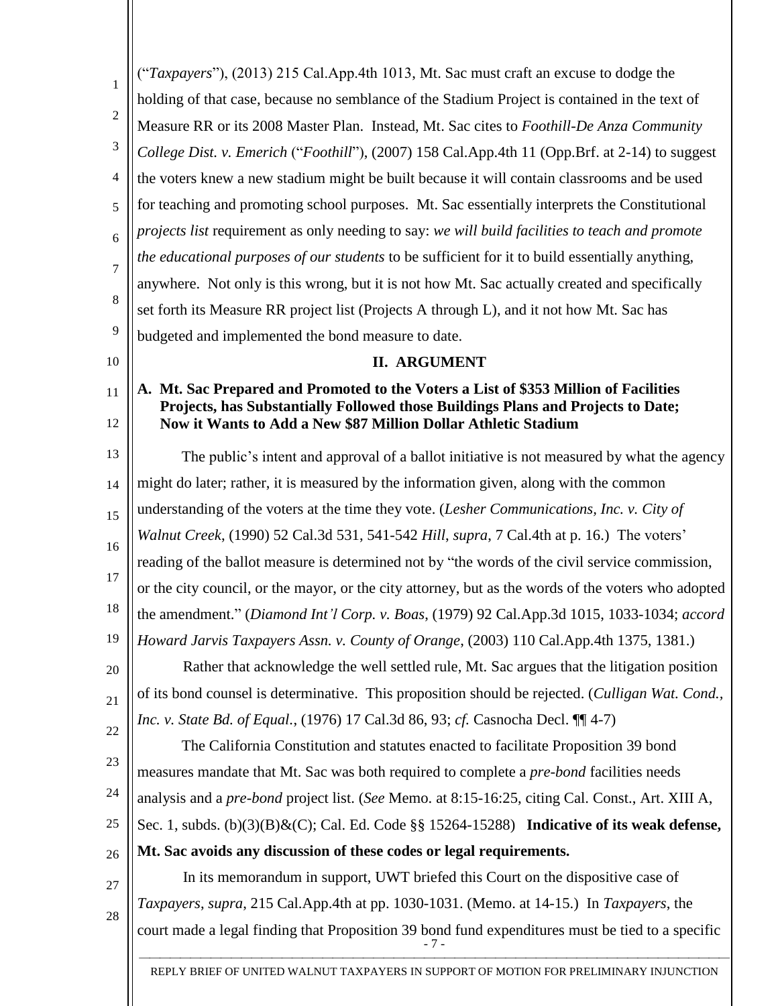| 1              | ("Taxpayers"), (2013) 215 Cal.App.4th 1013, Mt. Sac must craft an excuse to dodge the                                                                                    |
|----------------|--------------------------------------------------------------------------------------------------------------------------------------------------------------------------|
|                | holding of that case, because no semblance of the Stadium Project is contained in the text of                                                                            |
| $\overline{c}$ | Measure RR or its 2008 Master Plan. Instead, Mt. Sac cites to Foothill-De Anza Community                                                                                 |
| 3              | College Dist. v. Emerich ("Foothill"), (2007) 158 Cal.App.4th 11 (Opp.Brf. at 2-14) to suggest                                                                           |
| 4              | the voters knew a new stadium might be built because it will contain classrooms and be used                                                                              |
| 5              | for teaching and promoting school purposes. Mt. Sac essentially interprets the Constitutional                                                                            |
| 6              | projects list requirement as only needing to say: we will build facilities to teach and promote                                                                          |
| 7              | the educational purposes of our students to be sufficient for it to build essentially anything,                                                                          |
|                | anywhere. Not only is this wrong, but it is not how Mt. Sac actually created and specifically                                                                            |
| 8              | set forth its Measure RR project list (Projects A through L), and it not how Mt. Sac has                                                                                 |
| 9              | budgeted and implemented the bond measure to date.                                                                                                                       |
| 10             | <b>II. ARGUMENT</b>                                                                                                                                                      |
| 11             | A. Mt. Sac Prepared and Promoted to the Voters a List of \$353 Million of Facilities<br>Projects, has Substantially Followed those Buildings Plans and Projects to Date; |
| 12             | Now it Wants to Add a New \$87 Million Dollar Athletic Stadium                                                                                                           |
| 13             | The public's intent and approval of a ballot initiative is not measured by what the agency                                                                               |
| 14             | might do later; rather, it is measured by the information given, along with the common                                                                                   |
| 15             | understanding of the voters at the time they vote. (Lesher Communications, Inc. v. City of                                                                               |
|                | Walnut Creek, (1990) 52 Cal.3d 531, 541-542 Hill, supra, 7 Cal.4th at p. 16.) The voters'                                                                                |
| 16             | reading of the ballot measure is determined not by "the words of the civil service commission,                                                                           |
| 17             | or the city council, or the mayor, or the city attorney, but as the words of the voters who adopted                                                                      |
| 18             | the amendment." (Diamond Int'l Corp. v. Boas, (1979) 92 Cal.App.3d 1015, 1033-1034; accord                                                                               |
| 19             | Howard Jarvis Taxpayers Assn. v. County of Orange, (2003) 110 Cal.App.4th 1375, 1381.)                                                                                   |
| 20             | Rather that acknowledge the well settled rule, Mt. Sac argues that the litigation position                                                                               |
| 21             | of its bond counsel is determinative. This proposition should be rejected. (Culligan Wat. Cond.,                                                                         |
| 22             | Inc. v. State Bd. of Equal., (1976) 17 Cal.3d 86, 93; cf. Casnocha Decl. [[14-7]                                                                                         |
| 23             | The California Constitution and statutes enacted to facilitate Proposition 39 bond                                                                                       |
|                | measures mandate that Mt. Sac was both required to complete a <i>pre-bond</i> facilities needs                                                                           |
| 24             | analysis and a <i>pre-bond</i> project list. (See Memo. at 8:15-16:25, citing Cal. Const., Art. XIII A,                                                                  |
| 25             | Sec. 1, subds. $(b)(3)(B) & (C)$ ; Cal. Ed. Code §§ 15264-15288) Indicative of its weak defense,                                                                         |
| 26             | Mt. Sac avoids any discussion of these codes or legal requirements.                                                                                                      |
| $27\,$         | In its memorandum in support, UWT briefed this Court on the dispositive case of                                                                                          |
| 28             | Taxpayers, supra, 215 Cal.App.4th at pp. 1030-1031. (Memo. at 14-15.) In Taxpayers, the                                                                                  |
|                | court made a legal finding that Proposition 39 bond fund expenditures must be tied to a specific<br>- 7 -                                                                |
|                |                                                                                                                                                                          |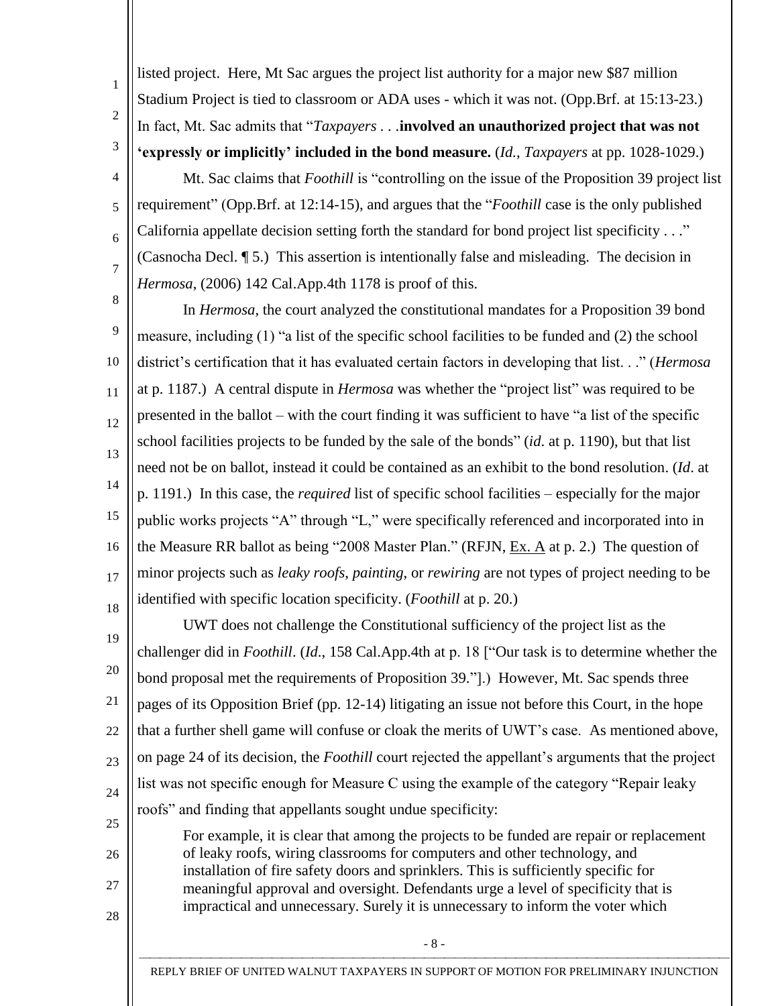listed project. Here, Mt Sac argues the project list authority for a major new \$87 million Stadium Project is tied to classroom or ADA uses - which it was not. (Opp.Brf. at 15:13-23.) In fact, Mt. Sac admits that "*Taxpayers . . .***involved an unauthorized project that was not 'expressly or implicitly' included in the bond measure.** (*Id.*, *Taxpayers* at pp. 1028-1029.)

1

 $\mathfrak{D}$ 

3

4

5

6

7

26

27

28

Mt. Sac claims that *Foothill* is "controlling on the issue of the Proposition 39 project list requirement" (Opp.Brf. at 12:14-15), and argues that the "*Foothill* case is the only published California appellate decision setting forth the standard for bond project list specificity . . ." (Casnocha Decl. ¶ 5.) This assertion is intentionally false and misleading. The decision in *Hermosa*, (2006) 142 Cal.App.4th 1178 is proof of this.

8 9 10 11 12 13 14 15 16 17 18 In *Hermosa*, the court analyzed the constitutional mandates for a Proposition 39 bond measure, including (1) "a list of the specific school facilities to be funded and (2) the school district's certification that it has evaluated certain factors in developing that list. . ." (*Hermosa* at p. 1187.) A central dispute in *Hermosa* was whether the "project list" was required to be presented in the ballot – with the court finding it was sufficient to have "a list of the specific school facilities projects to be funded by the sale of the bonds" (*id*. at p. 1190), but that list need not be on ballot, instead it could be contained as an exhibit to the bond resolution. (*Id*. at p. 1191.) In this case, the *required* list of specific school facilities – especially for the major public works projects "A" through "L," were specifically referenced and incorporated into in the Measure RR ballot as being "2008 Master Plan." (RFJN, Ex. A at p. 2.) The question of minor projects such as *leaky roofs*, *painting*, or *rewiring* are not types of project needing to be identified with specific location specificity. (*Foothill* at p. 20.)

19 20 21 22 23 24 25 UWT does not challenge the Constitutional sufficiency of the project list as the challenger did in *Foothill*. (*Id*., 158 Cal.App.4th at p. 18 ["Our task is to determine whether the bond proposal met the requirements of Proposition 39."].) However, Mt. Sac spends three pages of its Opposition Brief (pp. 12-14) litigating an issue not before this Court, in the hope that a further shell game will confuse or cloak the merits of UWT's case. As mentioned above, on page 24 of its decision, the *Foothill* court rejected the appellant's arguments that the project list was not specific enough for Measure C using the example of the category "Repair leaky roofs" and finding that appellants sought undue specificity:

For example, it is clear that among the projects to be funded are repair or replacement of leaky roofs, wiring classrooms for computers and other technology, and installation of fire safety doors and sprinklers. This is sufficiently specific for meaningful approval and oversight. Defendants urge a level of specificity that is impractical and unnecessary. Surely it is unnecessary to inform the voter which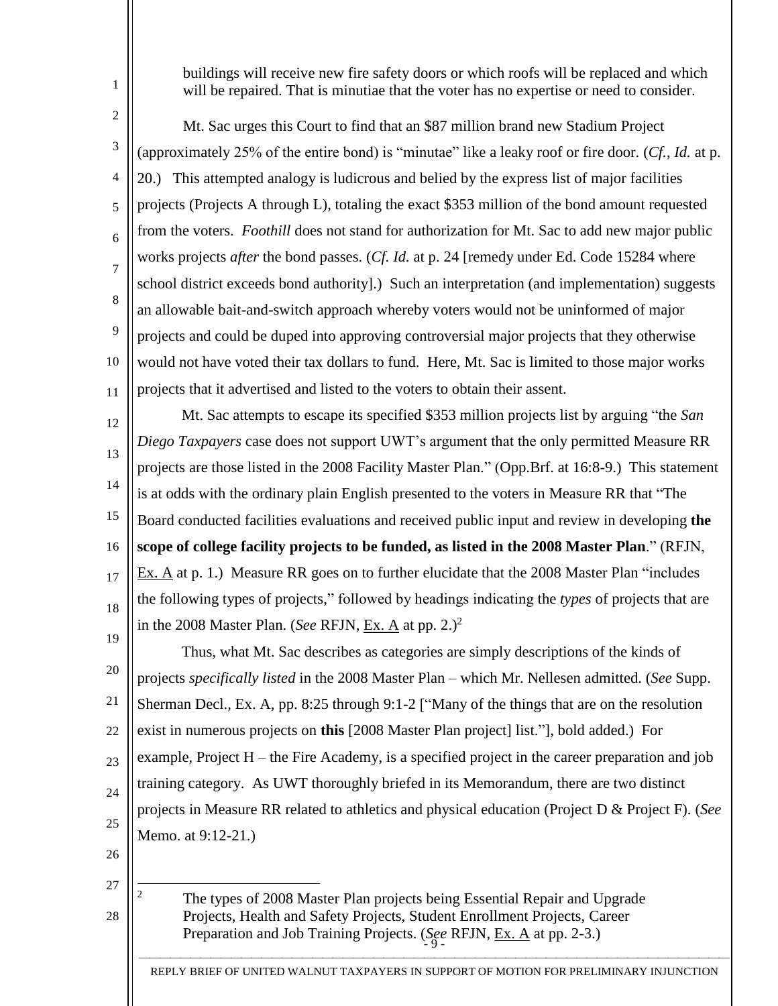buildings will receive new fire safety doors or which roofs will be replaced and which will be repaired. That is minutiae that the voter has no expertise or need to consider.

 $\overline{2}$ 

1

3 4 5 6 7 8 9 10 11 Mt. Sac urges this Court to find that an \$87 million brand new Stadium Project (approximately 25% of the entire bond) is "minutae" like a leaky roof or fire door. (*Cf.*, *Id.* at p. 20.) This attempted analogy is ludicrous and belied by the express list of major facilities projects (Projects A through L), totaling the exact \$353 million of the bond amount requested from the voters. *Foothill* does not stand for authorization for Mt. Sac to add new major public works projects *after* the bond passes. (*Cf. Id.* at p. 24 [remedy under Ed. Code 15284 where school district exceeds bond authority].) Such an interpretation (and implementation) suggests an allowable bait-and-switch approach whereby voters would not be uninformed of major projects and could be duped into approving controversial major projects that they otherwise would not have voted their tax dollars to fund. Here, Mt. Sac is limited to those major works projects that it advertised and listed to the voters to obtain their assent.

12 13 14 15 16 17 18 19 Mt. Sac attempts to escape its specified \$353 million projects list by arguing "the *San Diego Taxpayers* case does not support UWT's argument that the only permitted Measure RR projects are those listed in the 2008 Facility Master Plan." (Opp.Brf. at 16:8-9.) This statement is at odds with the ordinary plain English presented to the voters in Measure RR that "The Board conducted facilities evaluations and received public input and review in developing **the scope of college facility projects to be funded, as listed in the 2008 Master Plan**." (RFJN, Ex. A at p. 1.) Measure RR goes on to further elucidate that the 2008 Master Plan "includes the following types of projects," followed by headings indicating the *types* of projects that are in the 2008 Master Plan. (*See RFJN*, Ex. A at pp.  $2^2$ )<sup>2</sup>

20 21 22 23 24 25 Thus, what Mt. Sac describes as categories are simply descriptions of the kinds of projects *specifically listed* in the 2008 Master Plan – which Mr. Nellesen admitted. (*See* Supp. Sherman Decl., Ex. A, pp. 8:25 through 9:1-2 ["Many of the things that are on the resolution exist in numerous projects on **this** [2008 Master Plan project] list."], bold added.) For example, Project H – the Fire Academy, is a specified project in the career preparation and job training category. As UWT thoroughly briefed in its Memorandum, there are two distinct projects in Measure RR related to athletics and physical education (Project D & Project F). (*See*  Memo. at 9:12-21.)

26

27

28

 $\overline{c}$ 

Preparation and Job Training Projects. (*See* RFJN, <u>Ex. A</u> at pp. 2-3.) <sup>2</sup> The types of 2008 Master Plan projects being Essential Repair and Upgrade Projects, Health and Safety Projects, Student Enrollment Projects, Career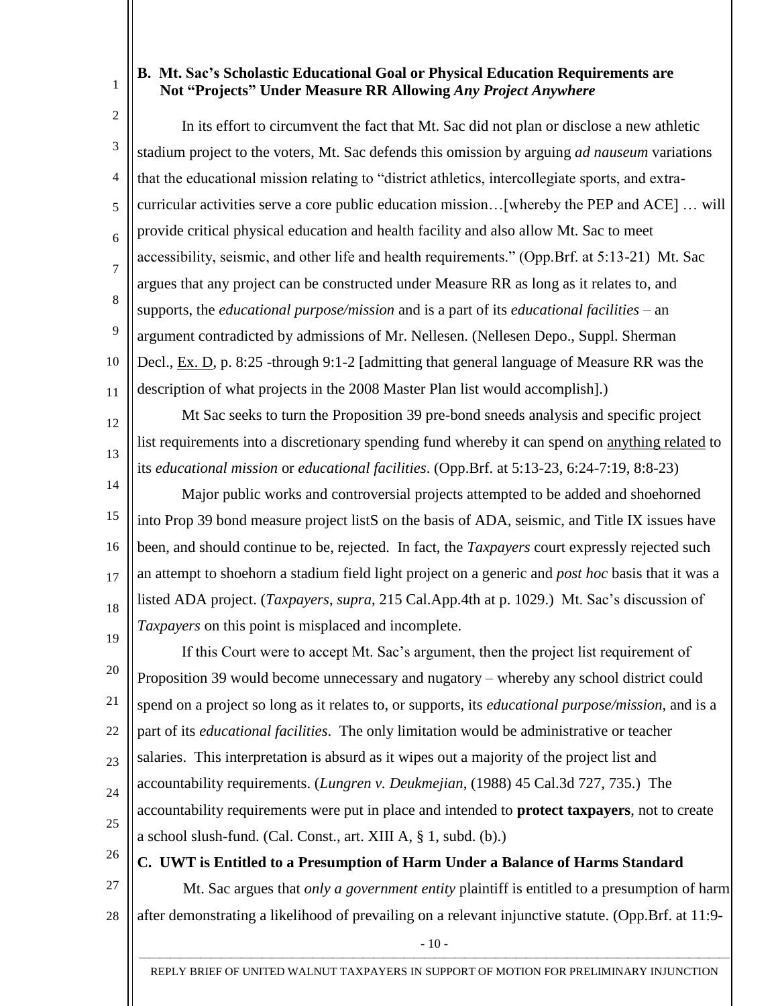# 1

12

13

### **B. Mt. Sac's Scholastic Educational Goal or Physical Education Requirements are Not "Projects" Under Measure RR Allowing** *Any Project Anywhere*

2 3 4 5 6 7 8 9 10 11 In its effort to circumvent the fact that Mt. Sac did not plan or disclose a new athletic stadium project to the voters, Mt. Sac defends this omission by arguing *ad nauseum* variations that the educational mission relating to "district athletics, intercollegiate sports, and extracurricular activities serve a core public education mission…[whereby the PEP and ACE] … will provide critical physical education and health facility and also allow Mt. Sac to meet accessibility, seismic, and other life and health requirements." (Opp.Brf. at 5:13-21) Mt. Sac argues that any project can be constructed under Measure RR as long as it relates to, and supports, the *educational purpose/mission* and is a part of its *educational facilities* – an argument contradicted by admissions of Mr. Nellesen. (Nellesen Depo., Suppl. Sherman Decl., Ex. D, p. 8:25 -through 9:1-2 [admitting that general language of Measure RR was the description of what projects in the 2008 Master Plan list would accomplish].)

Mt Sac seeks to turn the Proposition 39 pre-bond sneeds analysis and specific project list requirements into a discretionary spending fund whereby it can spend on anything related to its *educational mission* or *educational facilities*. (Opp.Brf. at 5:13-23, 6:24-7:19, 8:8-23)

14 15 16 17 18 19 Major public works and controversial projects attempted to be added and shoehorned into Prop 39 bond measure project listS on the basis of ADA, seismic, and Title IX issues have been, and should continue to be, rejected. In fact, the *Taxpayers* court expressly rejected such an attempt to shoehorn a stadium field light project on a generic and *post hoc* basis that it was a listed ADA project. (*Taxpayers*, *supra*, 215 Cal.App.4th at p. 1029.) Mt. Sac's discussion of *Taxpayers* on this point is misplaced and incomplete.

20 21 22 23 24 25 If this Court were to accept Mt. Sac's argument, then the project list requirement of Proposition 39 would become unnecessary and nugatory – whereby any school district could spend on a project so long as it relates to, or supports, its *educational purpose/mission*, and is a part of its *educational facilities*. The only limitation would be administrative or teacher salaries. This interpretation is absurd as it wipes out a majority of the project list and accountability requirements. (*Lungren v. Deukmejian*, (1988) 45 Cal.3d 727, 735.) The accountability requirements were put in place and intended to **protect taxpayers**, not to create a school slush-fund. (Cal. Const., art. XIII A, § 1, subd. (b).)

- 26
- 27

28

**C. UWT is Entitled to a Presumption of Harm Under a Balance of Harms Standard**

Mt. Sac argues that *only a government entity* plaintiff is entitled to a presumption of harm after demonstrating a likelihood of prevailing on a relevant injunctive statute. (Opp.Brf. at 11:9-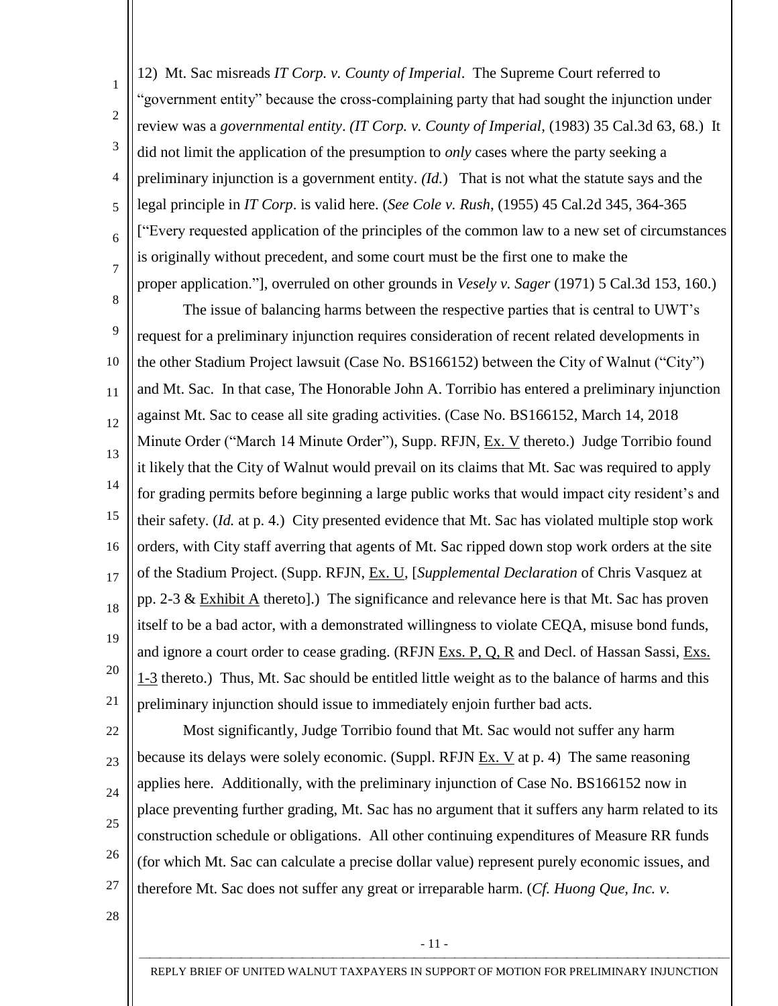1  $\overline{2}$ 3 4 5 6 7 12) Mt. Sac misreads *IT Corp. v. County of Imperial*. The Supreme Court referred to "government entity" because the cross-complaining party that had sought the injunction under review was a *governmental entity*. *(IT Corp. v. County of Imperial*, (1983) 35 Cal.3d 63, 68.) It did not limit the application of the presumption to *only* cases where the party seeking a preliminary injunction is a government entity. *(Id.*) That is not what the statute says and the legal principle in *IT Corp*. is valid here. (*See Cole v. Rush*, (1955) 45 Cal.2d 345, 364-365 ["Every requested application of the principles of the common law to a new set of circumstances is originally without precedent, and some court must be the first one to make the proper application."], overruled on other grounds in *Vesely v. Sager* (1971) 5 Cal.3d 153, 160.)

8 9 10 11 12 13 14 15 16 17 18 19 20 21 The issue of balancing harms between the respective parties that is central to UWT's request for a preliminary injunction requires consideration of recent related developments in the other Stadium Project lawsuit (Case No. BS166152) between the City of Walnut ("City") and Mt. Sac. In that case, The Honorable John A. Torribio has entered a preliminary injunction against Mt. Sac to cease all site grading activities. (Case No. BS166152, March 14, 2018 Minute Order ("March 14 Minute Order"), Supp. RFJN, Ex. V thereto.) Judge Torribio found it likely that the City of Walnut would prevail on its claims that Mt. Sac was required to apply for grading permits before beginning a large public works that would impact city resident's and their safety. (*Id.* at p. 4.) City presented evidence that Mt. Sac has violated multiple stop work orders, with City staff averring that agents of Mt. Sac ripped down stop work orders at the site of the Stadium Project. (Supp. RFJN, Ex. U, [*Supplemental Declaration* of Chris Vasquez at pp. 2-3 & Exhibit A thereto].) The significance and relevance here is that Mt. Sac has proven itself to be a bad actor, with a demonstrated willingness to violate CEQA, misuse bond funds, and ignore a court order to cease grading. (RFJN Exs. P, Q, R and Decl. of Hassan Sassi, Exs. 1-3 thereto.) Thus, Mt. Sac should be entitled little weight as to the balance of harms and this preliminary injunction should issue to immediately enjoin further bad acts.

22 23 24 25 26 27 Most significantly, Judge Torribio found that Mt. Sac would not suffer any harm because its delays were solely economic. (Suppl. RFJN Ex. V at p. 4) The same reasoning applies here. Additionally, with the preliminary injunction of Case No. BS166152 now in place preventing further grading, Mt. Sac has no argument that it suffers any harm related to its construction schedule or obligations. All other continuing expenditures of Measure RR funds (for which Mt. Sac can calculate a precise dollar value) represent purely economic issues, and therefore Mt. Sac does not suffer any great or irreparable harm. (*Cf. Huong Que, Inc. v.* 

28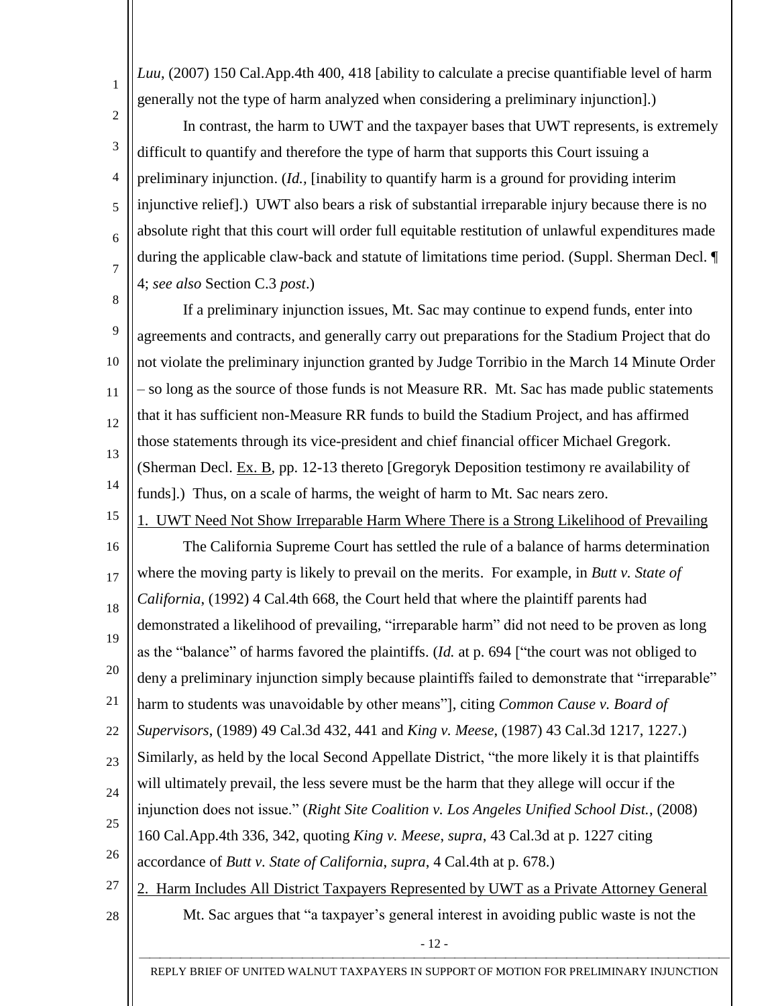*Luu*, (2007) 150 Cal.App.4th 400, 418 [ability to calculate a precise quantifiable level of harm generally not the type of harm analyzed when considering a preliminary injunction].)

1

 $\overline{2}$ 

7

26

27

28

3 4 5 6 In contrast, the harm to UWT and the taxpayer bases that UWT represents, is extremely difficult to quantify and therefore the type of harm that supports this Court issuing a preliminary injunction. (*Id.,* [inability to quantify harm is a ground for providing interim injunctive relief].) UWT also bears a risk of substantial irreparable injury because there is no absolute right that this court will order full equitable restitution of unlawful expenditures made during the applicable claw-back and statute of limitations time period. (Suppl. Sherman Decl. ¶ 4; *see also* Section C.3 *post*.)

8 9 10 11 12 13 14 If a preliminary injunction issues, Mt. Sac may continue to expend funds, enter into agreements and contracts, and generally carry out preparations for the Stadium Project that do not violate the preliminary injunction granted by Judge Torribio in the March 14 Minute Order – so long as the source of those funds is not Measure RR. Mt. Sac has made public statements that it has sufficient non-Measure RR funds to build the Stadium Project, and has affirmed those statements through its vice-president and chief financial officer Michael Gregork. (Sherman Decl. Ex. B, pp. 12-13 thereto [Gregoryk Deposition testimony re availability of funds].) Thus, on a scale of harms, the weight of harm to Mt. Sac nears zero.

15 1. UWT Need Not Show Irreparable Harm Where There is a Strong Likelihood of Prevailing

16 17 18 19 20 21 22 23 24 25 The California Supreme Court has settled the rule of a balance of harms determination where the moving party is likely to prevail on the merits. For example, in *Butt v. State of California*, (1992) 4 Cal.4th 668, the Court held that where the plaintiff parents had demonstrated a likelihood of prevailing, "irreparable harm" did not need to be proven as long as the "balance" of harms favored the plaintiffs. (*Id.* at p. 694 ["the court was not obliged to deny a preliminary injunction simply because plaintiffs failed to demonstrate that "irreparable" harm to students was unavoidable by other means"], citing *Common Cause v. Board of Supervisors*, (1989) 49 Cal.3d 432, 441 and *King v. Meese*, (1987) 43 Cal.3d 1217, 1227.) Similarly, as held by the local Second Appellate District, "the more likely it is that plaintiffs will ultimately prevail, the less severe must be the harm that they allege will occur if the injunction does not issue." (*Right Site Coalition v. Los Angeles Unified School Dist.*, (2008) 160 Cal.App.4th 336, 342, quoting *King v. Meese*, *supra*, 43 Cal.3d at p. 1227 citing

accordance of *Butt v. State of California*, *supra*, 4 Cal.4th at p. 678.)

2. Harm Includes All District Taxpayers Represented by UWT as a Private Attorney General Mt. Sac argues that "a taxpayer's general interest in avoiding public waste is not the

- 12 -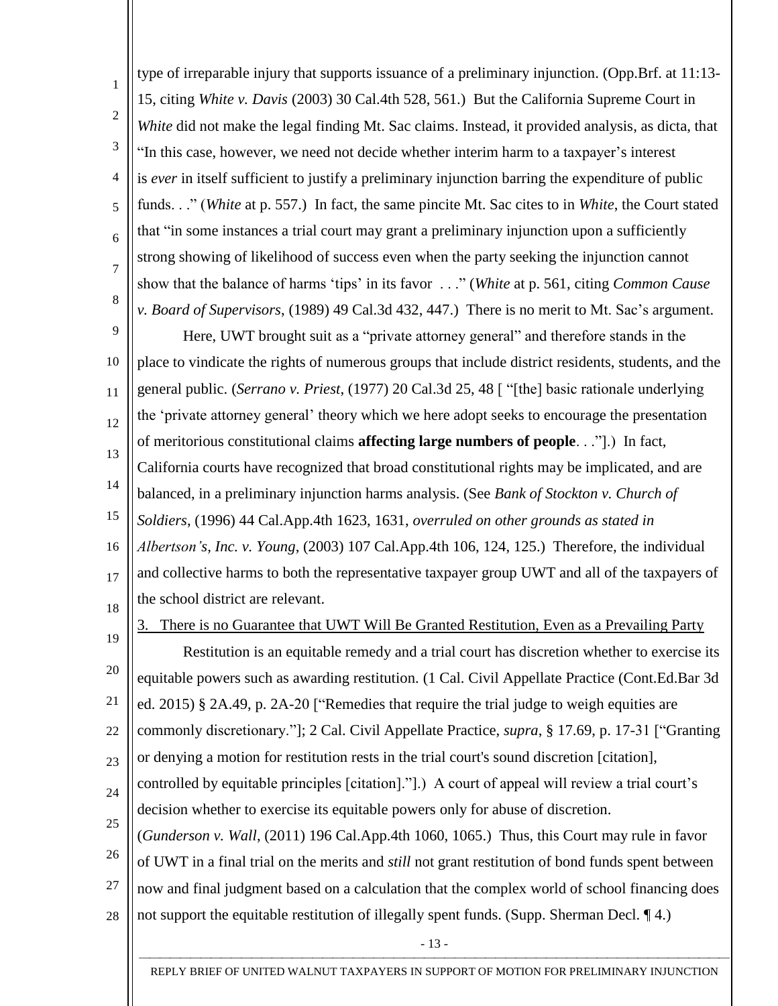1  $\overline{2}$ 3 4 5 6 7 8 type of irreparable injury that supports issuance of a preliminary injunction. (Opp.Brf. at 11:13- 15, citing *White v. Davis* (2003) 30 Cal.4th 528, 561.) But the California Supreme Court in *White* did not make the legal finding Mt. Sac claims. Instead, it provided analysis, as dicta, that "In this case, however, we need not decide whether interim harm to a taxpayer's interest is *ever* in itself sufficient to justify a preliminary injunction barring the expenditure of public funds. . ." (*White* at p. 557.) In fact, the same pincite Mt. Sac cites to in *White*, the Court stated that "in some instances a trial court may grant a preliminary injunction upon a sufficiently strong showing of likelihood of success even when the party seeking the injunction cannot show that the balance of harms 'tips' in its favor . . ." (*White* at p. 561, citing *Common Cause v. Board of Supervisors*, (1989) 49 Cal.3d 432, 447.) There is no merit to Mt. Sac's argument.

9 10 11 12 13 14 15 16 17 Here, UWT brought suit as a "private attorney general" and therefore stands in the place to vindicate the rights of numerous groups that include district residents, students, and the general public. (*Serrano v. Priest*, (1977) 20 Cal.3d 25, 48 [ "[the] basic rationale underlying the 'private attorney general' theory which we here adopt seeks to encourage the presentation of meritorious constitutional claims **affecting large numbers of people**. . ."].) In fact, California courts have recognized that broad constitutional rights may be implicated, and are balanced, in a preliminary injunction harms analysis. (See *Bank of Stockton v. Church of Soldiers*, (1996) 44 Cal.App.4th 1623, 1631, *overruled on other grounds as stated in Albertson's, Inc. v. Young*, (2003) 107 Cal.App.4th 106, 124, 125.) Therefore, the individual and collective harms to both the representative taxpayer group UWT and all of the taxpayers of

18 the school district are relevant.

19

3. There is no Guarantee that UWT Will Be Granted Restitution, Even as a Prevailing Party

20 21 22 23 24 25 26 Restitution is an equitable remedy and a trial court has discretion whether to exercise its equitable powers such as awarding restitution. (1 Cal. Civil Appellate Practice (Cont.Ed.Bar 3d ed. 2015) § 2A.49, p. 2A-20 ["Remedies that require the trial judge to weigh equities are commonly discretionary."]; 2 Cal. Civil Appellate Practice, *supra*, § 17.69, p. 17-31 ["Granting or denying a motion for restitution rests in the trial court's sound discretion [citation], controlled by equitable principles [citation]."].) A court of appeal will review a trial court's decision whether to exercise its equitable powers only for abuse of discretion. (*Gunderson v. Wall*, (2011) 196 Cal.App.4th 1060, 1065.) Thus, this Court may rule in favor of UWT in a final trial on the merits and *still* not grant restitution of bond funds spent between

- 27 now and final judgment based on a calculation that the complex world of school financing does not support the equitable restitution of illegally spent funds. (Supp. Sherman Decl.  $\P$ 4.)
- 28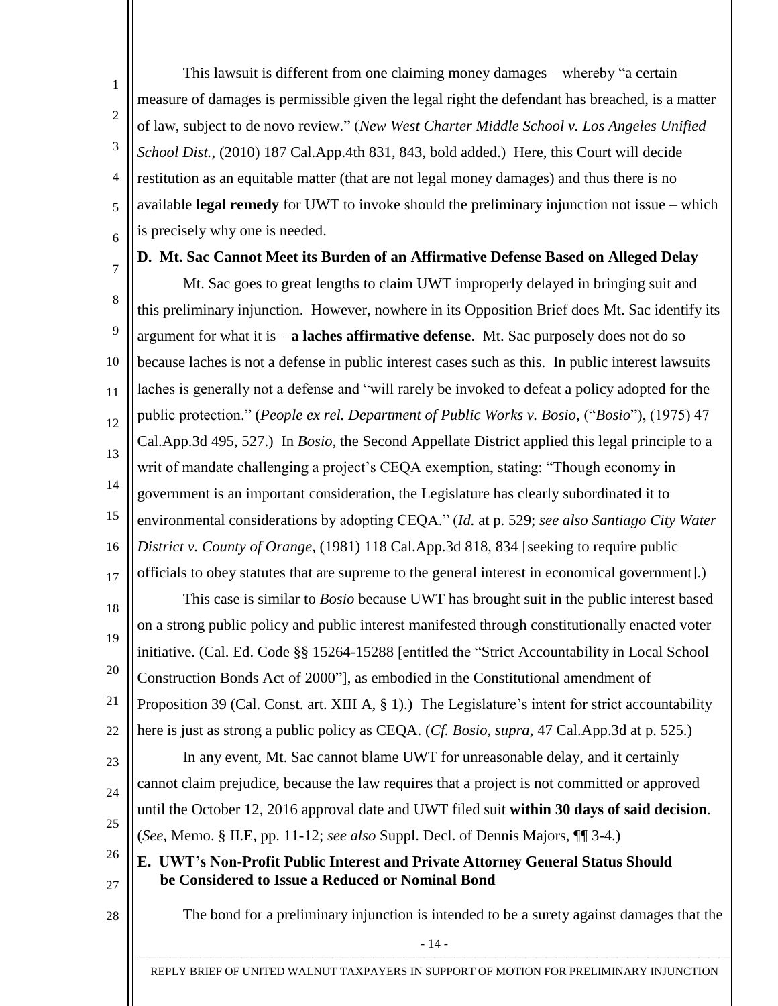1  $\overline{2}$ 3 4 5 6 This lawsuit is different from one claiming money damages – whereby "a certain measure of damages is permissible given the legal right the defendant has breached, is a matter of law, subject to de novo review." (*New West Charter Middle School v. Los Angeles Unified School Dist.*, (2010) 187 Cal.App.4th 831, 843, bold added.) Here, this Court will decide restitution as an equitable matter (that are not legal money damages) and thus there is no available **legal remedy** for UWT to invoke should the preliminary injunction not issue – which is precisely why one is needed.

7

#### **D. Mt. Sac Cannot Meet its Burden of an Affirmative Defense Based on Alleged Delay**

8 9 10 11 12 13 14 15 16 17 18 19 20 21 22 23 24 25 26 27 28 Mt. Sac goes to great lengths to claim UWT improperly delayed in bringing suit and this preliminary injunction. However, nowhere in its Opposition Brief does Mt. Sac identify its argument for what it is – **a laches affirmative defense**. Mt. Sac purposely does not do so because laches is not a defense in public interest cases such as this. In public interest lawsuits laches is generally not a defense and "will rarely be invoked to defeat a policy adopted for the public protection." (*People ex rel. Department of Public Works v. Bosio*, ("*Bosio*"), (1975) 47 Cal.App.3d 495, 527.) In *Bosio*, the Second Appellate District applied this legal principle to a writ of mandate challenging a project's CEQA exemption, stating: "Though economy in government is an important consideration, the Legislature has clearly subordinated it to environmental considerations by adopting CEQA." (*Id.* at p. 529; *see also Santiago City Water District v. County of Orange*, (1981) 118 Cal.App.3d 818, 834 [seeking to require public officials to obey statutes that are supreme to the general interest in economical government].) This case is similar to *Bosio* because UWT has brought suit in the public interest based on a strong public policy and public interest manifested through constitutionally enacted voter initiative. (Cal. Ed. Code §§ 15264-15288 [entitled the "Strict Accountability in Local School Construction Bonds Act of 2000"], as embodied in the Constitutional amendment of Proposition 39 (Cal. Const. art. XIII A, § 1).) The Legislature's intent for strict accountability here is just as strong a public policy as CEQA. (*Cf. Bosio*, *supra*, 47 Cal.App.3d at p. 525.) In any event, Mt. Sac cannot blame UWT for unreasonable delay, and it certainly cannot claim prejudice, because the law requires that a project is not committed or approved until the October 12, 2016 approval date and UWT filed suit **within 30 days of said decision**. (*See*, Memo. § II.E, pp. 11-12; *see also* Suppl. Decl. of Dennis Majors, ¶¶ 3-4.) **E. UWT's Non-Profit Public Interest and Private Attorney General Status Should be Considered to Issue a Reduced or Nominal Bond** The bond for a preliminary injunction is intended to be a surety against damages that the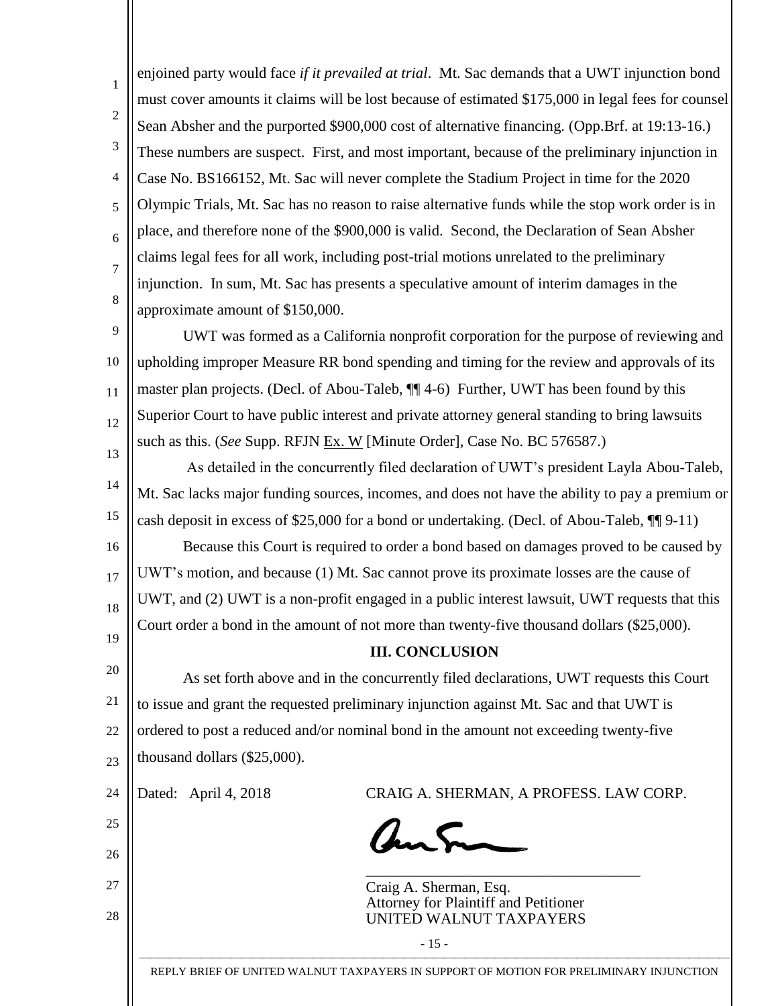1  $\overline{2}$ 3 4 5 6 7 8 enjoined party would face *if it prevailed at trial*. Mt. Sac demands that a UWT injunction bond must cover amounts it claims will be lost because of estimated \$175,000 in legal fees for counsel Sean Absher and the purported \$900,000 cost of alternative financing. (Opp.Brf. at 19:13-16.) These numbers are suspect. First, and most important, because of the preliminary injunction in Case No. BS166152, Mt. Sac will never complete the Stadium Project in time for the 2020 Olympic Trials, Mt. Sac has no reason to raise alternative funds while the stop work order is in place, and therefore none of the \$900,000 is valid. Second, the Declaration of Sean Absher claims legal fees for all work, including post-trial motions unrelated to the preliminary injunction. In sum, Mt. Sac has presents a speculative amount of interim damages in the approximate amount of \$150,000.

9 10 11 12 13 UWT was formed as a California nonprofit corporation for the purpose of reviewing and upholding improper Measure RR bond spending and timing for the review and approvals of its master plan projects. (Decl. of Abou-Taleb, ¶¶ 4-6) Further, UWT has been found by this Superior Court to have public interest and private attorney general standing to bring lawsuits such as this. (*See* Supp. RFJN Ex. W [Minute Order], Case No. BC 576587.)

14 15 16 17 As detailed in the concurrently filed declaration of UWT's president Layla Abou-Taleb, Mt. Sac lacks major funding sources, incomes, and does not have the ability to pay a premium or cash deposit in excess of \$25,000 for a bond or undertaking. (Decl. of Abou-Taleb, ¶¶ 9-11) Because this Court is required to order a bond based on damages proved to be caused by UWT's motion, and because (1) Mt. Sac cannot prove its proximate losses are the cause of UWT, and (2) UWT is a non-profit engaged in a public interest lawsuit, UWT requests that this

Court order a bond in the amount of not more than twenty-five thousand dollars (\$25,000).

# **III. CONCLUSION**

20 21 22 23 As set forth above and in the concurrently filed declarations, UWT requests this Court to issue and grant the requested preliminary injunction against Mt. Sac and that UWT is ordered to post a reduced and/or nominal bond in the amount not exceeding twenty-five thousand dollars (\$25,000).

24

18

19

25

26

27

28

Dated: April 4, 2018 CRAIG A. SHERMAN, A PROFESS. LAW CORP.

ans

\_\_\_\_\_\_\_\_\_\_\_\_\_\_\_\_\_\_\_\_\_\_\_\_\_\_\_\_\_\_\_\_\_\_\_\_ Craig A. Sherman, Esq. Attorney for Plaintiff and Petitioner UNITED WALNUT TAXPAYERS

 REPLY BRIEF OF UNITED WALNUT TAXPAYERS IN SUPPORT OF MOTION FOR PRELIMINARY INJUNCTION

- 15 -